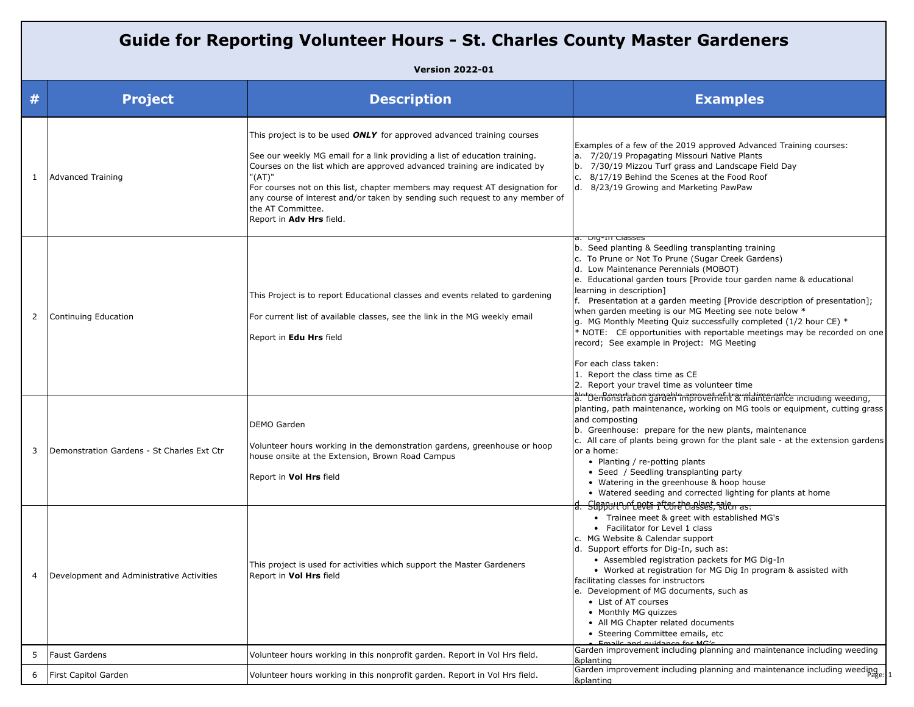| <b>Guide for Reporting Volunteer Hours - St. Charles County Master Gardeners</b> |                                            |                                                                                                                                                                                                                                                                                                                                                                                                                                                                     |                                                                                                                                                                                                                                                                                                                                                                                                                                                                                                                                                                                                                                                                                                                             |  |  |  |
|----------------------------------------------------------------------------------|--------------------------------------------|---------------------------------------------------------------------------------------------------------------------------------------------------------------------------------------------------------------------------------------------------------------------------------------------------------------------------------------------------------------------------------------------------------------------------------------------------------------------|-----------------------------------------------------------------------------------------------------------------------------------------------------------------------------------------------------------------------------------------------------------------------------------------------------------------------------------------------------------------------------------------------------------------------------------------------------------------------------------------------------------------------------------------------------------------------------------------------------------------------------------------------------------------------------------------------------------------------------|--|--|--|
| <b>Version 2022-01</b>                                                           |                                            |                                                                                                                                                                                                                                                                                                                                                                                                                                                                     |                                                                                                                                                                                                                                                                                                                                                                                                                                                                                                                                                                                                                                                                                                                             |  |  |  |
| #                                                                                | <b>Project</b>                             | <b>Description</b>                                                                                                                                                                                                                                                                                                                                                                                                                                                  | <b>Examples</b>                                                                                                                                                                                                                                                                                                                                                                                                                                                                                                                                                                                                                                                                                                             |  |  |  |
| 1                                                                                | <b>Advanced Training</b>                   | This project is to be used <b>ONLY</b> for approved advanced training courses<br>See our weekly MG email for a link providing a list of education training.<br>Courses on the list which are approved advanced training are indicated by<br>"(AT)"<br>For courses not on this list, chapter members may request AT designation for<br>any course of interest and/or taken by sending such request to any member of<br>the AT Committee.<br>Report in Adv Hrs field. | Examples of a few of the 2019 approved Advanced Training courses:<br>a. 7/20/19 Propagating Missouri Native Plants<br>7/30/19 Mizzou Turf grass and Landscape Field Day<br>8/17/19 Behind the Scenes at the Food Roof<br>d. 8/23/19 Growing and Marketing PawPaw                                                                                                                                                                                                                                                                                                                                                                                                                                                            |  |  |  |
| 2                                                                                | Continuing Education                       | This Project is to report Educational classes and events related to gardening<br>For current list of available classes, see the link in the MG weekly email<br>Report in Edu Hrs field                                                                                                                                                                                                                                                                              | a. Diy-III Ciasses<br>b. Seed planting & Seedling transplanting training<br>c. To Prune or Not To Prune (Sugar Creek Gardens)<br>d. Low Maintenance Perennials (MOBOT)<br>e. Educational garden tours [Provide tour garden name & educational<br>learning in description]<br>f. Presentation at a garden meeting [Provide description of presentation];<br>when garden meeting is our MG Meeting see note below *<br>g. MG Monthly Meeting Quiz successfully completed (1/2 hour CE) *<br>* NOTE: CE opportunities with reportable meetings may be recorded on one<br>record; See example in Project: MG Meeting<br>For each class taken:<br>1. Report the class time as CE<br>2. Report your travel time as volunteer time |  |  |  |
| 3                                                                                | Demonstration Gardens - St Charles Ext Ctr | DEMO Garden<br>Volunteer hours working in the demonstration gardens, greenhouse or hoop<br>house onsite at the Extension, Brown Road Campus<br>Report in Vol Hrs field                                                                                                                                                                                                                                                                                              | a: "Demonstration garden improvement & maintenance including weeding,<br>planting, path maintenance, working on MG tools or equipment, cutting grass<br>and composting<br>b. Greenhouse: prepare for the new plants, maintenance<br>c. All care of plants being grown for the plant sale - at the extension gardens<br>or a home:<br>• Planting / re-potting plants<br>• Seed / Seedling transplanting party<br>• Watering in the greenhouse & hoop house<br>• Watered seeding and corrected lighting for plants at home<br>Slfpport Dolar after the alges, sale as:                                                                                                                                                        |  |  |  |
| 4                                                                                | Development and Administrative Activities  | This project is used for activities which support the Master Gardeners<br>Report in Vol Hrs field                                                                                                                                                                                                                                                                                                                                                                   | • Trainee meet & greet with established MG's<br>• Facilitator for Level 1 class<br>c. MG Website & Calendar support<br>d. Support efforts for Dig-In, such as:<br>• Assembled registration packets for MG Dig-In<br>• Worked at registration for MG Dig In program & assisted with<br>facilitating classes for instructors<br>e. Development of MG documents, such as<br>• List of AT courses<br>• Monthly MG quizzes<br>• All MG Chapter related documents<br>• Steering Committee emails, etc<br>Emails and quidance for MC's                                                                                                                                                                                             |  |  |  |
| 5                                                                                | <b>Faust Gardens</b>                       | Volunteer hours working in this nonprofit garden. Report in Vol Hrs field.                                                                                                                                                                                                                                                                                                                                                                                          | Garden improvement including planning and maintenance including weeding<br>&planting                                                                                                                                                                                                                                                                                                                                                                                                                                                                                                                                                                                                                                        |  |  |  |
| 6                                                                                | First Capitol Garden                       | Volunteer hours working in this nonprofit garden. Report in Vol Hrs field.                                                                                                                                                                                                                                                                                                                                                                                          | Garden improvement including planning and maintenance including weeding.<br>&planting                                                                                                                                                                                                                                                                                                                                                                                                                                                                                                                                                                                                                                       |  |  |  |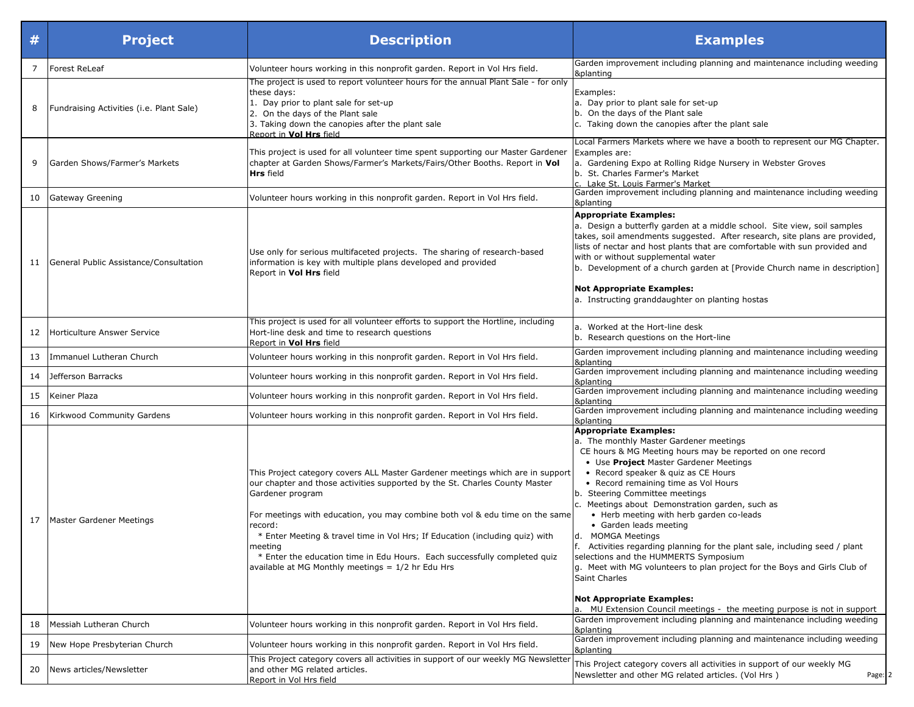| #              | <b>Project</b>                           | <b>Description</b>                                                                                                                                                                                                                                                                                                                                                                                                                                                                                          | <b>Examples</b>                                                                                                                                                                                                                                                                                                                                                                                                                                                                                                                                                                                                                                                                                                                                                                            |
|----------------|------------------------------------------|-------------------------------------------------------------------------------------------------------------------------------------------------------------------------------------------------------------------------------------------------------------------------------------------------------------------------------------------------------------------------------------------------------------------------------------------------------------------------------------------------------------|--------------------------------------------------------------------------------------------------------------------------------------------------------------------------------------------------------------------------------------------------------------------------------------------------------------------------------------------------------------------------------------------------------------------------------------------------------------------------------------------------------------------------------------------------------------------------------------------------------------------------------------------------------------------------------------------------------------------------------------------------------------------------------------------|
| $\overline{7}$ | <b>Forest ReLeaf</b>                     | Volunteer hours working in this nonprofit garden. Report in Vol Hrs field.                                                                                                                                                                                                                                                                                                                                                                                                                                  | Garden improvement including planning and maintenance including weeding<br>&planting                                                                                                                                                                                                                                                                                                                                                                                                                                                                                                                                                                                                                                                                                                       |
| 8              | Fundraising Activities (i.e. Plant Sale) | The project is used to report volunteer hours for the annual Plant Sale - for only<br>these days:<br>1. Day prior to plant sale for set-up<br>2. On the days of the Plant sale<br>3. Taking down the canopies after the plant sale<br>Report in Vol Hrs field                                                                                                                                                                                                                                               | Examples:<br>a. Day prior to plant sale for set-up<br>b. On the days of the Plant sale<br>c. Taking down the canopies after the plant sale                                                                                                                                                                                                                                                                                                                                                                                                                                                                                                                                                                                                                                                 |
| 9              | Garden Shows/Farmer's Markets            | This project is used for all volunteer time spent supporting our Master Gardener<br>chapter at Garden Shows/Farmer's Markets/Fairs/Other Booths. Report in Vol<br><b>Hrs</b> field                                                                                                                                                                                                                                                                                                                          | Local Farmers Markets where we have a booth to represent our MG Chapter.<br>Examples are:<br>a. Gardening Expo at Rolling Ridge Nursery in Webster Groves<br>b. St. Charles Farmer's Market<br>c. Lake St. Louis Farmer's Market                                                                                                                                                                                                                                                                                                                                                                                                                                                                                                                                                           |
| 10             | Gateway Greening                         | Volunteer hours working in this nonprofit garden. Report in Vol Hrs field.                                                                                                                                                                                                                                                                                                                                                                                                                                  | Garden improvement including planning and maintenance including weeding<br>&planting                                                                                                                                                                                                                                                                                                                                                                                                                                                                                                                                                                                                                                                                                                       |
| 11             | General Public Assistance/Consultation   | Use only for serious multifaceted projects. The sharing of research-based<br>information is key with multiple plans developed and provided<br>Report in <b>Vol Hrs</b> field                                                                                                                                                                                                                                                                                                                                | <b>Appropriate Examples:</b><br>a. Design a butterfly garden at a middle school. Site view, soil samples<br>takes, soil amendments suggested. After research, site plans are provided,<br>lists of nectar and host plants that are comfortable with sun provided and<br>with or without supplemental water<br>[b. Development of a church garden at [Provide Church name in description]<br><b>Not Appropriate Examples:</b><br>a. Instructing granddaughter on planting hostas                                                                                                                                                                                                                                                                                                            |
| 12             | Horticulture Answer Service              | This project is used for all volunteer efforts to support the Hortline, including<br>Hort-line desk and time to research questions<br>Report in <b>Vol Hrs</b> field                                                                                                                                                                                                                                                                                                                                        | a. Worked at the Hort-line desk<br>b. Research questions on the Hort-line                                                                                                                                                                                                                                                                                                                                                                                                                                                                                                                                                                                                                                                                                                                  |
| 13             | Immanuel Lutheran Church                 | Volunteer hours working in this nonprofit garden. Report in Vol Hrs field.                                                                                                                                                                                                                                                                                                                                                                                                                                  | Garden improvement including planning and maintenance including weeding<br>&planting                                                                                                                                                                                                                                                                                                                                                                                                                                                                                                                                                                                                                                                                                                       |
| 14             | Jefferson Barracks                       | Volunteer hours working in this nonprofit garden. Report in Vol Hrs field.                                                                                                                                                                                                                                                                                                                                                                                                                                  | Garden improvement including planning and maintenance including weeding<br>&planting                                                                                                                                                                                                                                                                                                                                                                                                                                                                                                                                                                                                                                                                                                       |
| 15             | Keiner Plaza                             | Volunteer hours working in this nonprofit garden. Report in Vol Hrs field.                                                                                                                                                                                                                                                                                                                                                                                                                                  | Garden improvement including planning and maintenance including weeding<br>&planting                                                                                                                                                                                                                                                                                                                                                                                                                                                                                                                                                                                                                                                                                                       |
| 16             | Kirkwood Community Gardens               | Volunteer hours working in this nonprofit garden. Report in Vol Hrs field.                                                                                                                                                                                                                                                                                                                                                                                                                                  | Garden improvement including planning and maintenance including weeding<br>&planting                                                                                                                                                                                                                                                                                                                                                                                                                                                                                                                                                                                                                                                                                                       |
| 17             | Master Gardener Meetings                 | This Project category covers ALL Master Gardener meetings which are in support<br>our chapter and those activities supported by the St. Charles County Master<br>Gardener program<br>For meetings with education, you may combine both vol & edu time on the same<br>record:<br>* Enter Meeting & travel time in Vol Hrs; If Education (including quiz) with<br>meeting<br>* Enter the education time in Edu Hours. Each successfully completed quiz<br>available at MG Monthly meetings $= 1/2$ hr Edu Hrs | <b>Appropriate Examples:</b><br>a. The monthly Master Gardener meetings<br>CE hours & MG Meeting hours may be reported on one record<br>• Use Project Master Gardener Meetings<br>• Record speaker & quiz as CE Hours<br>• Record remaining time as Vol Hours<br>b. Steering Committee meetings<br>c. Meetings about Demonstration garden, such as<br>• Herb meeting with herb garden co-leads<br>• Garden leads meeting<br>d. MOMGA Meetings<br>f. Activities regarding planning for the plant sale, including seed / plant<br>selections and the HUMMERTS Symposium<br>g. Meet with MG volunteers to plan project for the Boys and Girls Club of<br><b>Saint Charles</b><br><b>Not Appropriate Examples:</b><br>a. MU Extension Council meetings - the meeting purpose is not in support |
| 18             | Messiah Lutheran Church                  | Volunteer hours working in this nonprofit garden. Report in Vol Hrs field.                                                                                                                                                                                                                                                                                                                                                                                                                                  | Garden improvement including planning and maintenance including weeding<br>&planting                                                                                                                                                                                                                                                                                                                                                                                                                                                                                                                                                                                                                                                                                                       |
| 19             | New Hope Presbyterian Church             | Volunteer hours working in this nonprofit garden. Report in Vol Hrs field.                                                                                                                                                                                                                                                                                                                                                                                                                                  | Garden improvement including planning and maintenance including weeding<br>&planting                                                                                                                                                                                                                                                                                                                                                                                                                                                                                                                                                                                                                                                                                                       |
| 20             | News articles/Newsletter                 | This Project category covers all activities in support of our weekly MG Newsletter<br>and other MG related articles.<br>Report in Vol Hrs field                                                                                                                                                                                                                                                                                                                                                             | This Project category covers all activities in support of our weekly MG<br>Newsletter and other MG related articles. (Vol Hrs)<br>Page: 2                                                                                                                                                                                                                                                                                                                                                                                                                                                                                                                                                                                                                                                  |